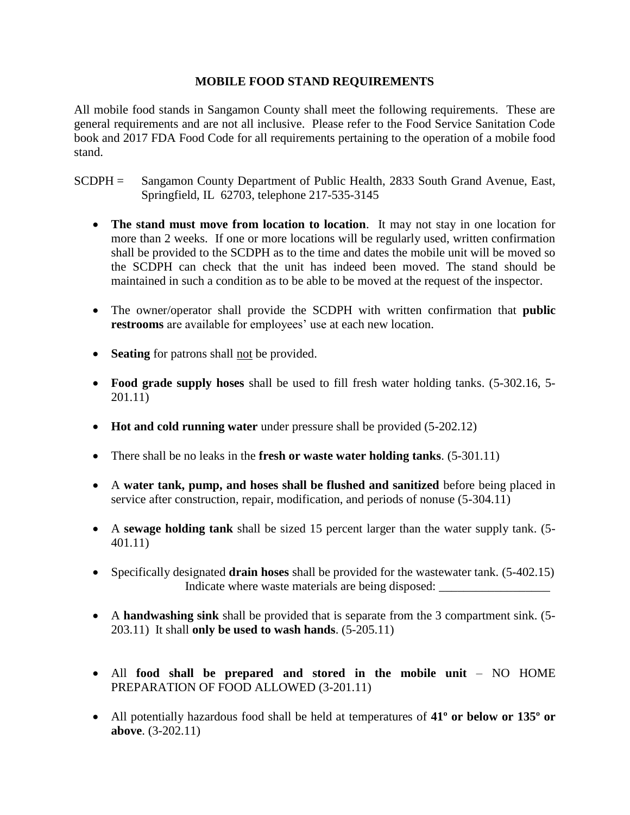## **MOBILE FOOD STAND REQUIREMENTS**

All mobile food stands in Sangamon County shall meet the following requirements. These are general requirements and are not all inclusive. Please refer to the Food Service Sanitation Code book and 2017 FDA Food Code for all requirements pertaining to the operation of a mobile food stand.

- SCDPH = Sangamon County Department of Public Health, 2833 South Grand Avenue, East, Springfield, IL 62703, telephone 217-535-3145
	- **The stand must move from location to location**. It may not stay in one location for more than 2 weeks. If one or more locations will be regularly used, written confirmation shall be provided to the SCDPH as to the time and dates the mobile unit will be moved so the SCDPH can check that the unit has indeed been moved. The stand should be maintained in such a condition as to be able to be moved at the request of the inspector.
	- The owner/operator shall provide the SCDPH with written confirmation that **public restrooms** are available for employees' use at each new location.
	- **Seating** for patrons shall <u>not</u> be provided.
	- **Food grade supply hoses** shall be used to fill fresh water holding tanks. (5-302.16, 5- 201.11)
	- **Hot and cold running water** under pressure shall be provided (5-202.12)
	- There shall be no leaks in the **fresh or waste water holding tanks**. (5-301.11)
	- A **water tank, pump, and hoses shall be flushed and sanitized** before being placed in service after construction, repair, modification, and periods of nonuse (5-304.11)
	- A **sewage holding tank** shall be sized 15 percent larger than the water supply tank. (5- 401.11)
	- Specifically designated **drain hoses** shall be provided for the wastewater tank. (5-402.15) Indicate where waste materials are being disposed:
	- A **handwashing sink** shall be provided that is separate from the 3 compartment sink. (5- 203.11) It shall **only be used to wash hands**. (5-205.11)
	- All **food shall be prepared and stored in the mobile unit** NO HOME PREPARATION OF FOOD ALLOWED (3-201.11)
	- All potentially hazardous food shall be held at temperatures of **41º or below or 135º or above**. (3-202.11)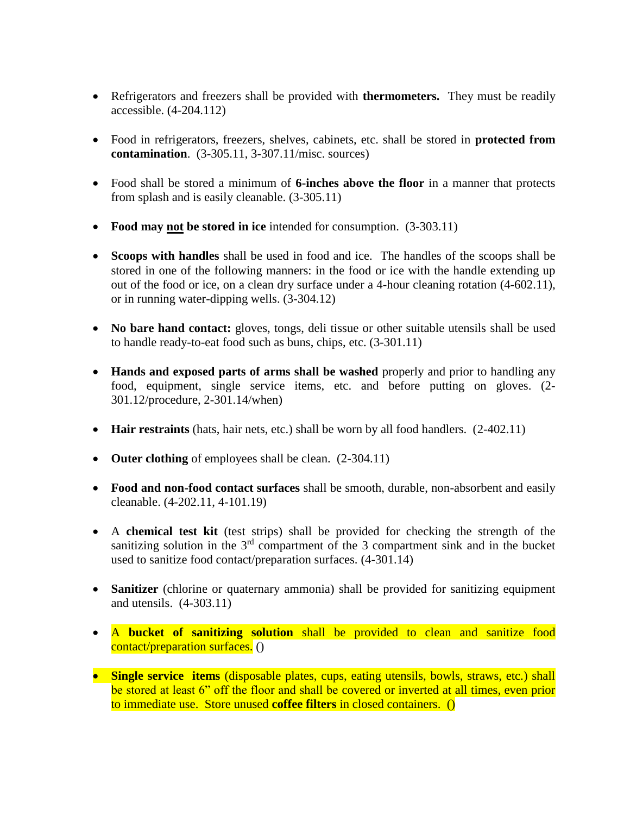- Refrigerators and freezers shall be provided with **thermometers.** They must be readily accessible. (4-204.112)
- Food in refrigerators, freezers, shelves, cabinets, etc. shall be stored in **protected from contamination**. (3-305.11, 3-307.11/misc. sources)
- Food shall be stored a minimum of **6-inches above the floor** in a manner that protects from splash and is easily cleanable. (3-305.11)
- **Food may not be stored in ice** intended for consumption. (3-303.11)
- **Scoops with handles** shall be used in food and ice. The handles of the scoops shall be stored in one of the following manners: in the food or ice with the handle extending up out of the food or ice, on a clean dry surface under a 4-hour cleaning rotation (4-602.11), or in running water-dipping wells. (3-304.12)
- No bare hand contact: gloves, tongs, deli tissue or other suitable utensils shall be used to handle ready-to-eat food such as buns, chips, etc. (3-301.11)
- **Hands and exposed parts of arms shall be washed** properly and prior to handling any food, equipment, single service items, etc. and before putting on gloves. (2- 301.12/procedure, 2-301.14/when)
- **Hair restraints** (hats, hair nets, etc.) shall be worn by all food handlers. (2-402.11)
- Outer clothing of employees shall be clean.  $(2-304.11)$
- **Food and non-food contact surfaces** shall be smooth, durable, non-absorbent and easily cleanable. (4-202.11, 4-101.19)
- A **chemical test kit** (test strips) shall be provided for checking the strength of the sanitizing solution in the  $3<sup>rd</sup>$  compartment of the 3 compartment sink and in the bucket used to sanitize food contact/preparation surfaces. (4-301.14)
- **Sanitizer** (chlorine or quaternary ammonia) shall be provided for sanitizing equipment and utensils. (4-303.11)
- A **bucket of sanitizing solution** shall be provided to clean and sanitize food contact/preparation surfaces. ()
- **Single service items** (disposable plates, cups, eating utensils, bowls, straws, etc.) shall be stored at least 6" off the floor and shall be covered or inverted at all times, even prior to immediate use. Store unused **coffee filters** in closed containers. ()